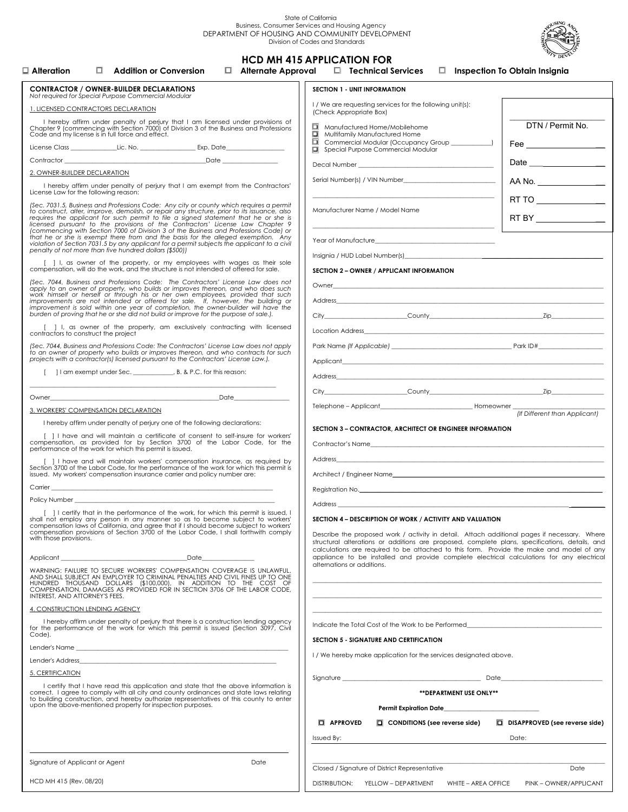State of California<br>Business, Consumer Services and Housing Agency<br>DEPARTMENT OF HOUSING AND COMMUNITY DEVELOPMENT



|                                                                                                                                                                                                                                                                                                                                                                                                                                | Division of Codes and Standards                                                                                                                                                                                                                                                |                                               |
|--------------------------------------------------------------------------------------------------------------------------------------------------------------------------------------------------------------------------------------------------------------------------------------------------------------------------------------------------------------------------------------------------------------------------------|--------------------------------------------------------------------------------------------------------------------------------------------------------------------------------------------------------------------------------------------------------------------------------|-----------------------------------------------|
| $\Box$ Addition or Conversion<br>$\Box$ Alternate Approval<br>$\Box$ Alteration $\Box$                                                                                                                                                                                                                                                                                                                                         | <b>HCD MH 415 APPLICATION FOR</b><br>□ Technical Services                                                                                                                                                                                                                      | $\Box$ Inspection To Obtain Insignia          |
| <b>CONTRACTOR / OWNER-BUILDER DECLARATIONS</b><br>Not required for Special Purpose Commercial Modular                                                                                                                                                                                                                                                                                                                          | <b>SECTION 1 - UNIT INFORMATION</b>                                                                                                                                                                                                                                            |                                               |
| 1. LICENSED CONTRACTORS DECLARATION                                                                                                                                                                                                                                                                                                                                                                                            | I / We are requesting services for the following unit(s):<br>(Check Appropriate Box)                                                                                                                                                                                           |                                               |
| I hereby affirm under penalty of perjury that I am licensed under provisions of<br>Chapter 9 (commencing with Section 7000) of Division 3 of the Business and Professions<br>Code and my license is in full force and effect.                                                                                                                                                                                                  | DTN / Permit No.<br>Manufactured Home/Mobilehome<br>o.<br>Multifamily Manufactured Home                                                                                                                                                                                        |                                               |
|                                                                                                                                                                                                                                                                                                                                                                                                                                | Commercial Modular (Occupancy Group __________)<br>Special Purpose Commercial Modular                                                                                                                                                                                          | Fee __________________                        |
|                                                                                                                                                                                                                                                                                                                                                                                                                                |                                                                                                                                                                                                                                                                                |                                               |
| 2. OWNER-BUILDER DECLARATION                                                                                                                                                                                                                                                                                                                                                                                                   |                                                                                                                                                                                                                                                                                | AA No.                                        |
| I hereby affirm under penalty of perjury that I am exempt from the Contractors'<br>License Law for the following reason:                                                                                                                                                                                                                                                                                                       |                                                                                                                                                                                                                                                                                |                                               |
| (Sec. 7031.5, Business and Professions Code: Any city or county which requires a permit<br>to construct, alter, improve, demolish, or repair any structure, prior to its issuance, also<br>requires the applicant for such permit to file a signed statement that he or she is<br>licensed pursuant to the provisions of the Contractors' License Law Chapter 9<br>(commencing with Section 7000 of Division 3 of the Business | Manufacturer Name / Model Name                                                                                                                                                                                                                                                 | RT TO _____________<br>RT BY ________________ |
| that he or she is exempt there from and the basis for the alleged exemption. Any<br>violation of Section 7031.5 by any applicant for a permit subjects the applicant to a civil<br>penalty of not more than five hundred dollars (\$500))                                                                                                                                                                                      |                                                                                                                                                                                                                                                                                |                                               |
| [ ] I, as owner of the property, or my employees with wages as their sole compensation, will do the work, and the structure is not intended of offered for sale.                                                                                                                                                                                                                                                               |                                                                                                                                                                                                                                                                                |                                               |
|                                                                                                                                                                                                                                                                                                                                                                                                                                | SECTION 2 - OWNER / APPLICANT INFORMATION                                                                                                                                                                                                                                      |                                               |
| (Sec. 7044, Business and Professions Code: The Contractors' License Law does not<br>apply to an owner of property, who builds or improves thereon, and who does such                                                                                                                                                                                                                                                           |                                                                                                                                                                                                                                                                                |                                               |
| work himself or herself or through his or her own employees, provided that such<br>improvements are not intended or offered for sale. If, however, the building or<br>improvement is sold within one year of completion, the owner-b                                                                                                                                                                                           | Address experiences and the contract of the contract of the contract of the contract of the contract of the contract of the contract of the contract of the contract of the contract of the contract of the contract of the co                                                 |                                               |
| burden of proving that he or she did not build or improve for the purpose of sale.).                                                                                                                                                                                                                                                                                                                                           |                                                                                                                                                                                                                                                                                |                                               |
| [ ] I, as owner of the property, am exclusively contracting with licensed<br>contractors to construct the project                                                                                                                                                                                                                                                                                                              | Location Address and the contract of the contract of the contract of the contract of the contract of the contract of the contract of the contract of the contract of the contract of the contract of the contract of the contr                                                 |                                               |
| (Sec. 7044, Business and Professions Code: The Contractors' License Law does not apply<br>to an owner of property who builds or improves thereon, and who contracts for such<br>projects with a contractor(s) licensed pursuant to the Contractors' License Law.).                                                                                                                                                             | Applicant <b>Executive Contract Contract Contract Contract Contract Contract Contract Contract Contract Contract Contract Contract Contract Contract Contract Contract Contract Contract Contract Contract Contract Contract Con</b>                                           |                                               |
|                                                                                                                                                                                                                                                                                                                                                                                                                                | Address and the contract of the contract of the contract of the contract of the contract of the contract of the contract of the contract of the contract of the contract of the contract of the contract of the contract of th                                                 |                                               |
|                                                                                                                                                                                                                                                                                                                                                                                                                                |                                                                                                                                                                                                                                                                                |                                               |
| <b>Date</b> Date<br>Owner                                                                                                                                                                                                                                                                                                                                                                                                      |                                                                                                                                                                                                                                                                                |                                               |
| 3. WORKERS' COMPENSATION DECLARATION                                                                                                                                                                                                                                                                                                                                                                                           |                                                                                                                                                                                                                                                                                | (If Different than Applicant)                 |
| I hereby affirm under penalty of perjury one of the following declarations:<br>[ ] I have and will maintain a certificate of consent to self-insure for workers'                                                                                                                                                                                                                                                               | SECTION 3 - CONTRACTOR, ARCHITECT OR ENGINEER INFORMATION                                                                                                                                                                                                                      |                                               |
| compensation, as provided for by Section 3700 of the Labor Code, for the<br>performance of the work for which this permit is issued.                                                                                                                                                                                                                                                                                           | Contractor's Name and the contractor's Name<br>Address and the contract of the contract of the contract of the contract of the contract of the contract of the contract of the contract of the contract of the contract of the contract of the contract of the contract of the |                                               |
| 1 have and will maintain workers' compensation insurance, as required by<br>Section 3700 of the Labor Code, for the performance of the work for which this permit is<br>issued. My workers' compensation insurance carrier and policy number are:                                                                                                                                                                              |                                                                                                                                                                                                                                                                                |                                               |
|                                                                                                                                                                                                                                                                                                                                                                                                                                | Registration No. <b>Example 20</b> No. 2014 12:30 No. 2014 12:30 No. 2014 12:30 No. 2014 12:30 No. 2014 12:30 No. 2014                                                                                                                                                         |                                               |
| Policy Number                                                                                                                                                                                                                                                                                                                                                                                                                  | Address _                                                                                                                                                                                                                                                                      |                                               |
| [ ] I certify that in the performance of the work, for which this permit is issued, I<br>shall not employ any person in any manner so as to become subject to workers'<br>compensation laws of California, and agree that if I should become subject to workers'<br>compensation laws of California, and agree that if I should become subject to workers'<br>with those provisions.                                           | SECTION 4 - DESCRIPTION OF WORK / ACTIVITY AND VALUATION<br>Describe the proposed work / activity in detail. Attach additional pages if necessary. Where<br>structural alterations or additions are proposed, complete plans, specifications, details, and                     |                                               |
| Applicant Date Date                                                                                                                                                                                                                                                                                                                                                                                                            | calculations are required to be attached to this form. Provide the make and model of any<br>appliance to be installed and provide complete electrical calculations for any electrical                                                                                          |                                               |
| WARNING: FAILURE TO SECURE WORKERS' COMPENSATION COVERAGE IS UNLAWFUL,<br>AND SHALL SUBJECT AN EMPLOYER TO CRIMINAL PENALTIES AND CIVIL FINES UP TO ONE<br>HUNDRED THOUSAND DOLLARS (\$100,000), IN ADDITION TO THE COST OF<br>COMPENSATION, DAMAGES AS PROVIDED FOR IN SECTION 3706 OF THE LABOR CODE,                                                                                                                        | alternations or additions.                                                                                                                                                                                                                                                     |                                               |
| INTEREST, AND ATTORNEY'S FEES.                                                                                                                                                                                                                                                                                                                                                                                                 |                                                                                                                                                                                                                                                                                |                                               |
| 4. CONSTRUCTION LENDING AGENCY<br>I hereby affirm under penalty of perjury that there is a construction lending agency<br>for the performance of the work for which this permit is issued (Section 3097, Civil                                                                                                                                                                                                                 | Indicate the Total Cost of the Work to be Performed                                                                                                                                                                                                                            |                                               |
| Code).                                                                                                                                                                                                                                                                                                                                                                                                                         | SECTION 5 - SIGNATURE AND CERTIFICATION                                                                                                                                                                                                                                        |                                               |
|                                                                                                                                                                                                                                                                                                                                                                                                                                | I / We hereby make application for the services designated above.                                                                                                                                                                                                              |                                               |
| Lender's Address and the contract of the contract of the contract of the contract of the contract of the contract of the contract of the contract of the contract of the contract of the contract of the contract of the contr<br>5. CERTIFICATION                                                                                                                                                                             |                                                                                                                                                                                                                                                                                |                                               |
| I certify that I have read this application and state that the above information is                                                                                                                                                                                                                                                                                                                                            |                                                                                                                                                                                                                                                                                |                                               |
| correct. I agree to comply with all city and county ordinances and state laws relating<br>to building construction, and hereby authorize representatives of this county to enter<br>upon the above-mentioned property for inspection purposes.                                                                                                                                                                                 | ** DEPARTMENT USE ONLY**<br>Permit Expiration Date____________________________                                                                                                                                                                                                 |                                               |
|                                                                                                                                                                                                                                                                                                                                                                                                                                | <b>II</b> APPROVED<br>$\Box$ CONDITIONS (see reverse side)                                                                                                                                                                                                                     | DISAPPROVED (see reverse side)                |
|                                                                                                                                                                                                                                                                                                                                                                                                                                | Issued By:                                                                                                                                                                                                                                                                     | Date:                                         |
|                                                                                                                                                                                                                                                                                                                                                                                                                                |                                                                                                                                                                                                                                                                                |                                               |
| Signature of Applicant or Agent<br>Date                                                                                                                                                                                                                                                                                                                                                                                        | Closed / Signature of District Representative                                                                                                                                                                                                                                  | Date                                          |

HCD MH 415 (Rev. 08/20)

DISTRIBUTION: YELLOW – DEPARTMENT WHITE – AREA OFFICE PINK – OWNER/APPLICANT